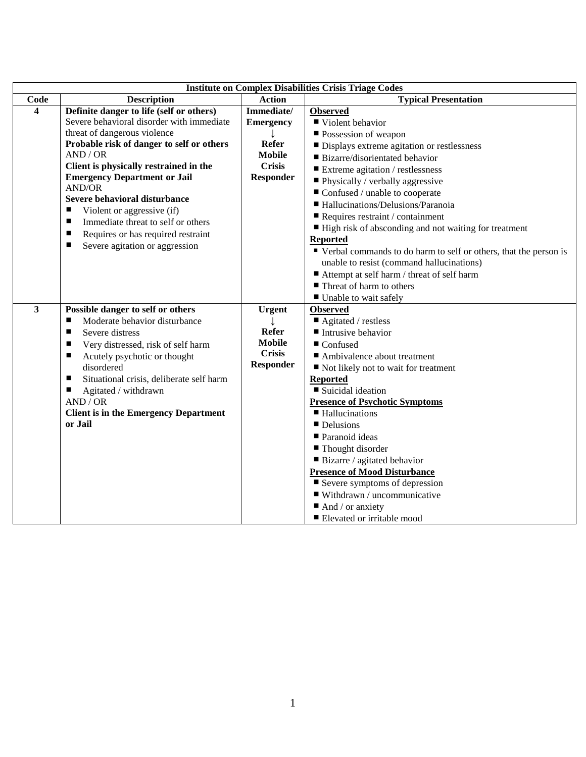|                         | <b>Institute on Complex Disabilities Crisis Triage Codes</b> |                  |                                                                    |  |  |
|-------------------------|--------------------------------------------------------------|------------------|--------------------------------------------------------------------|--|--|
| Code                    | <b>Description</b>                                           | <b>Action</b>    | <b>Typical Presentation</b>                                        |  |  |
| $\boldsymbol{4}$        | Definite danger to life (self or others)                     | Immediate/       | <b>Observed</b>                                                    |  |  |
|                         | Severe behavioral disorder with immediate                    | <b>Emergency</b> | ■ Violent behavior                                                 |  |  |
|                         | threat of dangerous violence                                 |                  | Possession of weapon                                               |  |  |
|                         | Probable risk of danger to self or others                    | <b>Refer</b>     | Displays extreme agitation or restlessness                         |  |  |
|                         | AND / OR                                                     | <b>Mobile</b>    | ■ Bizarre/disorientated behavior                                   |  |  |
|                         | Client is physically restrained in the                       | <b>Crisis</b>    | $\blacksquare$ Extreme agitation / restlessness                    |  |  |
|                         | <b>Emergency Department or Jail</b>                          | <b>Responder</b> | Physically / verbally aggressive                                   |  |  |
|                         | AND/OR                                                       |                  | Confused / unable to cooperate                                     |  |  |
|                         | Severe behavioral disturbance                                |                  | Hallucinations/Delusions/Paranoia                                  |  |  |
|                         | Violent or aggressive (if)<br>п                              |                  | $\blacksquare$ Requires restraint / containment                    |  |  |
|                         | п<br>Immediate threat to self or others                      |                  | ■ High risk of absconding and not waiting for treatment            |  |  |
|                         | Requires or has required restraint<br>п                      |                  | <b>Reported</b>                                                    |  |  |
|                         | Severe agitation or aggression<br>п                          |                  | ■ Verbal commands to do harm to self or others, that the person is |  |  |
|                         |                                                              |                  | unable to resist (command hallucinations)                          |  |  |
|                         |                                                              |                  | ■ Attempt at self harm / threat of self harm                       |  |  |
|                         |                                                              |                  | Threat of harm to others                                           |  |  |
|                         |                                                              |                  | Unable to wait safely                                              |  |  |
| $\overline{\mathbf{3}}$ | Possible danger to self or others                            | <b>Urgent</b>    | <b>Observed</b>                                                    |  |  |
|                         | Moderate behavior disturbance<br>п                           |                  | $\blacksquare$ Agitated / restless                                 |  |  |
|                         | Severe distress<br>п                                         | <b>Refer</b>     | Intrusive behavior                                                 |  |  |
|                         | Very distressed, risk of self harm<br>п                      | <b>Mobile</b>    | $\blacksquare$ Confused                                            |  |  |
|                         | Acutely psychotic or thought<br>п                            | <b>Crisis</b>    | Ambivalence about treatment                                        |  |  |
|                         | disordered                                                   | <b>Responder</b> | ■ Not likely not to wait for treatment                             |  |  |
|                         | Situational crisis, deliberate self harm<br>ш                |                  | <b>Reported</b>                                                    |  |  |
|                         | Agitated / withdrawn<br>ш                                    |                  | ■ Suicidal ideation                                                |  |  |
|                         | AND / OR                                                     |                  | <b>Presence of Psychotic Symptoms</b>                              |  |  |
|                         | <b>Client is in the Emergency Department</b>                 |                  | ■ Hallucinations                                                   |  |  |
|                         | or Jail                                                      |                  | Delusions                                                          |  |  |
|                         |                                                              |                  | ■ Paranoid ideas                                                   |  |  |
|                         |                                                              |                  | ■ Thought disorder                                                 |  |  |
|                         |                                                              |                  | ■ Bizarre / agitated behavior                                      |  |  |
|                         |                                                              |                  | <b>Presence of Mood Disturbance</b>                                |  |  |
|                         |                                                              |                  | $\blacksquare$ Severe symptoms of depression                       |  |  |
|                         |                                                              |                  | $\blacksquare$ Withdrawn / uncommunicative                         |  |  |
|                         |                                                              |                  | $\blacksquare$ And / or anxiety                                    |  |  |
|                         |                                                              |                  | ■ Elevated or irritable mood                                       |  |  |